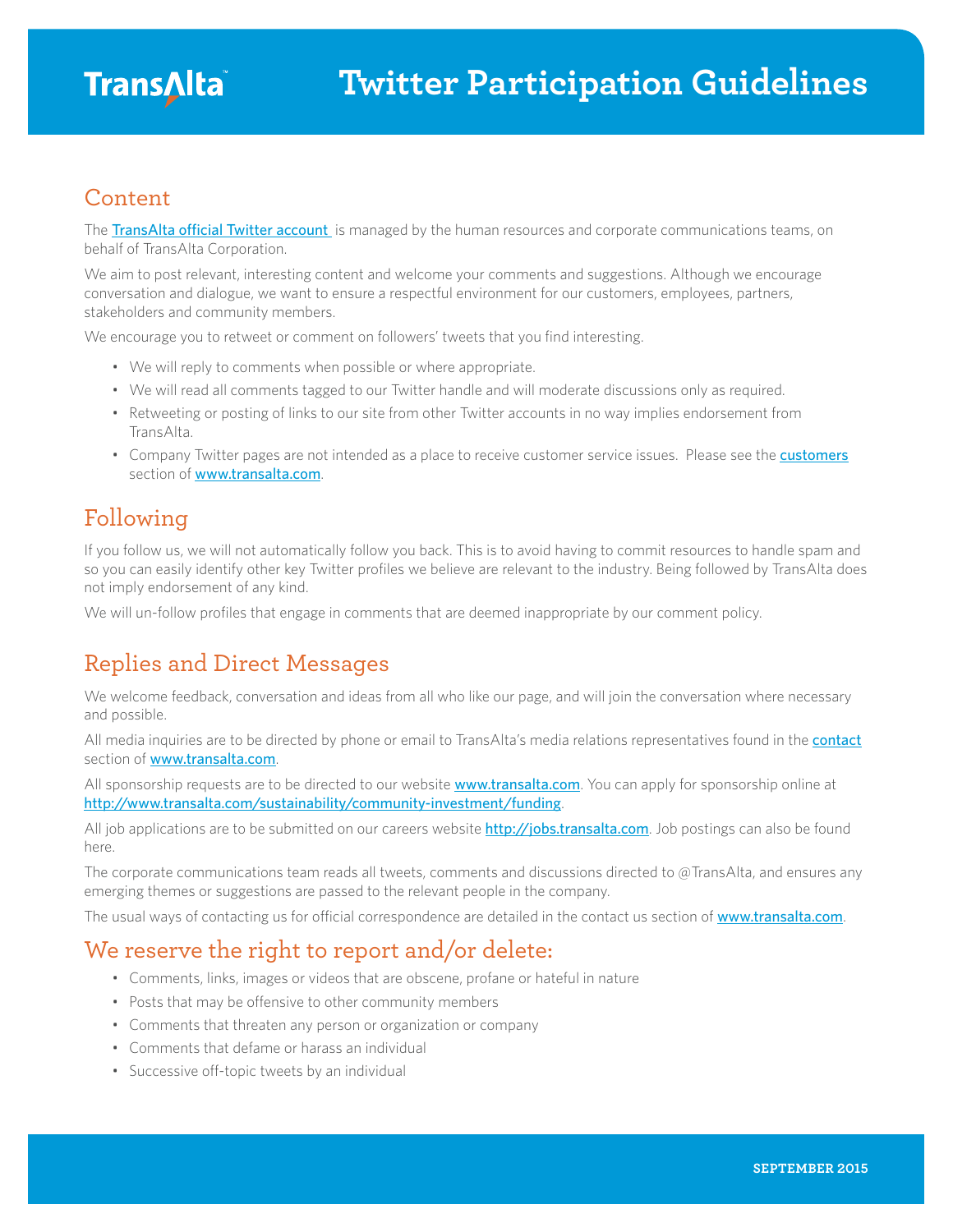#### Content

The [TransAlta official Twitter account](https://twitter.com/TransAlta) is managed by the human resources and corporate communications teams, on behalf of TransAlta Corporation.

We aim to post relevant, interesting content and welcome your comments and suggestions. Although we encourage conversation and dialogue, we want to ensure a respectful environment for our customers, employees, partners, stakeholders and community members.

We encourage you to retweet or comment on followers' tweets that you find interesting.

- We will reply to comments when possible or where appropriate.
- We will read all comments tagged to our Twitter handle and will moderate discussions only as required.
- Retweeting or posting of links to our site from other Twitter accounts in no way implies endorsement from TransAlta.
- Company Twitter pages are not intended as a place to receive customer service issues. Please see the **[customers](http://www.transalta.com/customers)** section of [www.transalta.com](http://www.transalta.com).

## Following

If you follow us, we will not automatically follow you back. This is to avoid having to commit resources to handle spam and so you can easily identify other key Twitter profiles we believe are relevant to the industry. Being followed by TransAlta does not imply endorsement of any kind.

We will un-follow profiles that engage in comments that are deemed inappropriate by our comment policy.

# Replies and Direct Messages

We welcome feedback, conversation and ideas from all who like our page, and will join the conversation where necessary and possible.

All media inquiries are to be directed by phone or email to TransAlta's media relations representatives found in the [contact](http://www.transalta.com/contact#headoffice) section of [www.transalta.com](http://www.transalta.com).

All sponsorship requests are to be directed to our website **[www.transalta.com](http://www.transalta.com)**. You can apply for sponsorship online at <http://www.transalta.com/sustainability/community-investment/funding>.

All job applications are to be submitted on our careers website <http://jobs.transalta.com>. Job postings can also be found here.

The corporate communications team reads all tweets, comments and discussions directed to @TransAlta, and ensures any emerging themes or suggestions are passed to the relevant people in the company.

The usual ways of contacting us for official correspondence are detailed in the contact us section of [www.transalta.com](http://www.transalta.com).

### We reserve the right to report and/or delete:

- Comments, links, images or videos that are obscene, profane or hateful in nature
- Posts that may be offensive to other community members
- Comments that threaten any person or organization or company
- Comments that defame or harass an individual
- Successive off-topic tweets by an individual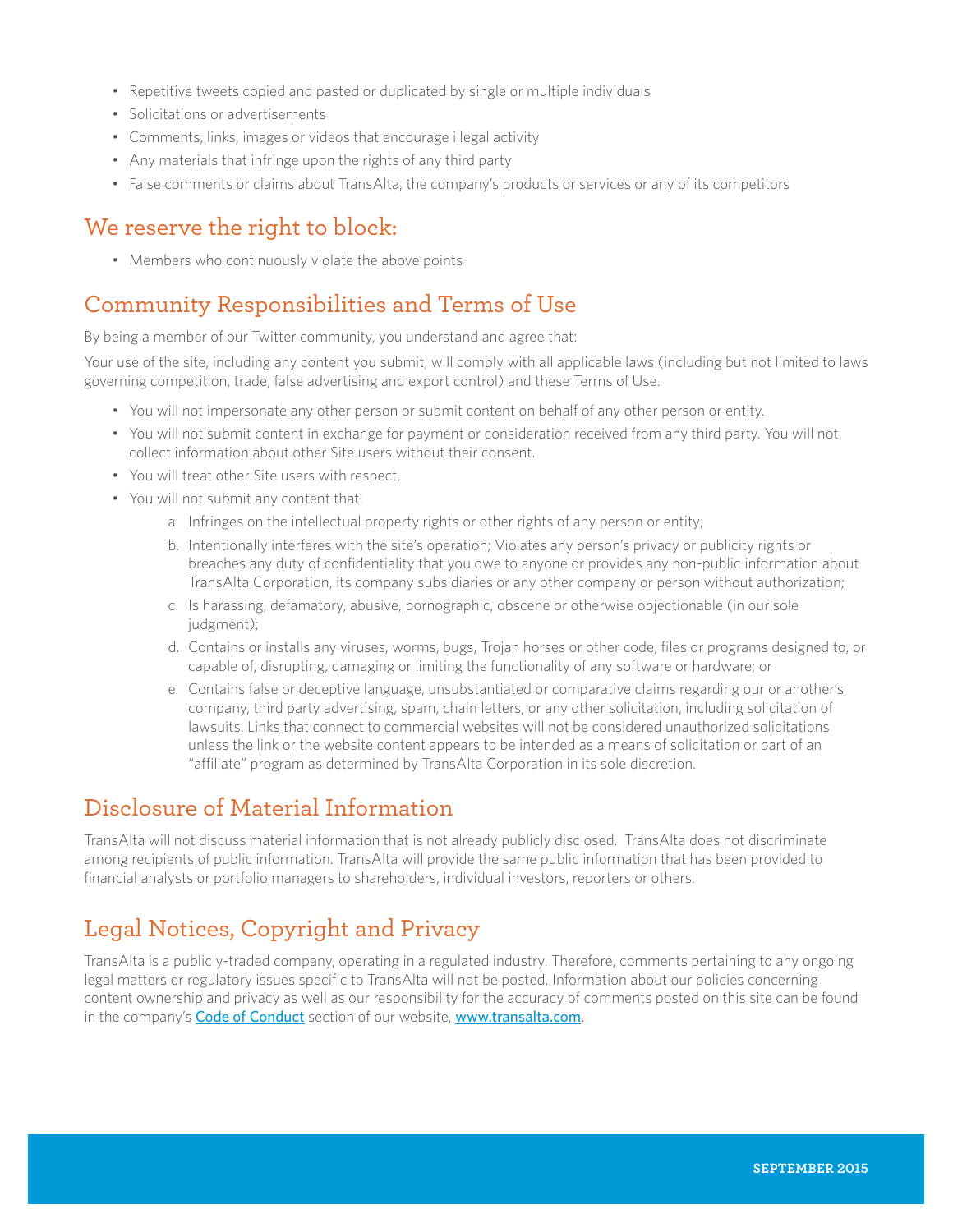- Repetitive tweets copied and pasted or duplicated by single or multiple individuals
- Solicitations or advertisements
- Comments, links, images or videos that encourage illegal activity
- Any materials that infringe upon the rights of any third party
- False comments or claims about TransAlta, the company's products or services or any of its competitors

## We reserve the right to block:

• Members who continuously violate the above points

## Community Responsibilities and Terms of Use

By being a member of our Twitter community, you understand and agree that:

Your use of the site, including any content you submit, will comply with all applicable laws (including but not limited to laws governing competition, trade, false advertising and export control) and these Terms of Use.

- You will not impersonate any other person or submit content on behalf of any other person or entity.
- You will not submit content in exchange for payment or consideration received from any third party. You will not collect information about other Site users without their consent.
- You will treat other Site users with respect.
- You will not submit any content that:
	- a. Infringes on the intellectual property rights or other rights of any person or entity;
	- b. Intentionally interferes with the site's operation; Violates any person's privacy or publicity rights or breaches any duty of confidentiality that you owe to anyone or provides any non-public information about TransAlta Corporation, its company subsidiaries or any other company or person without authorization;
	- c. Is harassing, defamatory, abusive, pornographic, obscene or otherwise objectionable (in our sole judgment);
	- d. Contains or installs any viruses, worms, bugs, Trojan horses or other code, files or programs designed to, or capable of, disrupting, damaging or limiting the functionality of any software or hardware; or
	- e. Contains false or deceptive language, unsubstantiated or comparative claims regarding our or another's company, third party advertising, spam, chain letters, or any other solicitation, including solicitation of lawsuits. Links that connect to commercial websites will not be considered unauthorized solicitations unless the link or the website content appears to be intended as a means of solicitation or part of an "affiliate" program as determined by TransAlta Corporation in its sole discretion.

## Disclosure of Material Information

TransAlta will not discuss material information that is not already publicly disclosed. TransAlta does not discriminate among recipients of public information. TransAlta will provide the same public information that has been provided to financial analysts or portfolio managers to shareholders, individual investors, reporters or others.

# Legal Notices, Copyright and Privacy

TransAlta is a publicly-traded company, operating in a regulated industry. Therefore, comments pertaining to any ongoing legal matters or regulatory issues specific to TransAlta will not be posted. Information about our policies concerning content ownership and privacy as well as our responsibility for the accuracy of comments posted on this site can be found in the company's [Code of Conduct](http://www.transalta.com/about-us/governance/corporate-code-conduct) section of our website, [www.transalta.com](http://www.transalta.com).